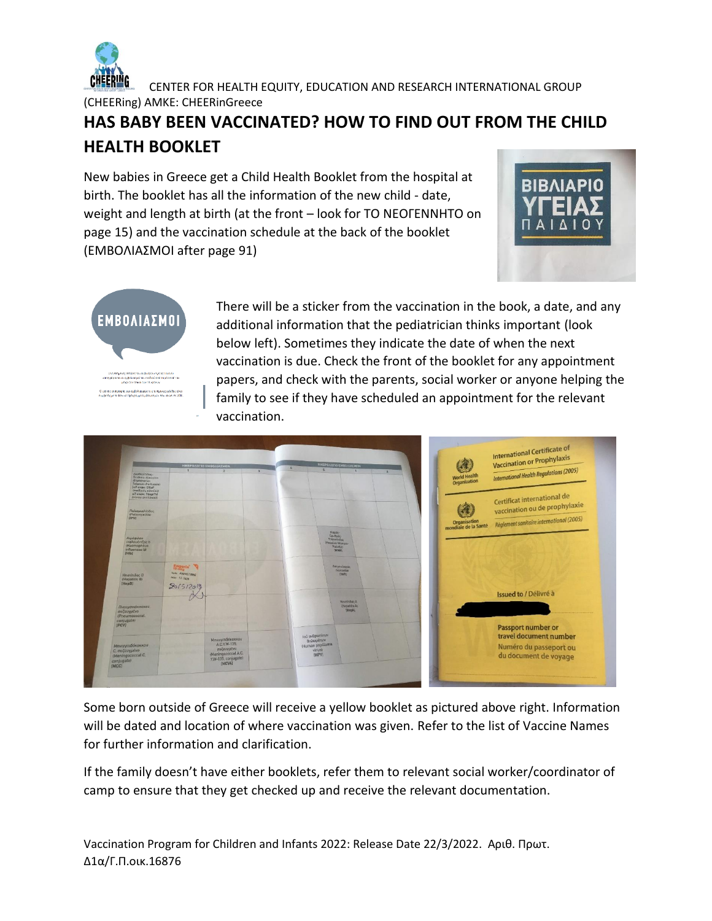

 CENTER FOR HEALTH EQUITY, EDUCATION AND RESEARCH INTERNATIONAL GROUP (CHEERing) AMKE: CHEERinGreece

## **HAS BABY BEEN VACCINATED? HOW TO FIND OUT FROM THE CHILD HEALTH BOOKLET**

New babies in Greece get a Child Health Booklet from the hospital at birth. The booklet has all the information of the new child - date, weight and length at birth (at the front – look for ΤΟ ΝΕΟΓΕΝΝΗΤΟ on page 15) and the vaccination schedule at the back of the booklet (ΕΜΒΟΛΙΑΣΜΟΙ after page 91)





There will be a sticker from the vaccination in the book, a date, and any additional information that the pediatrician thinks important (look below left). Sometimes they indicate the date of when the next vaccination is due. Check the front of the booklet for any appointment papers, and check with the parents, social worker or anyone helping the family to see if they have scheduled an appointment for the relevant vaccination.



Some born outside of Greece will receive a yellow booklet as pictured above right. Information will be dated and location of where vaccination was given. Refer to the list of Vaccine Names for further information and clarification.

If the family doesn't have either booklets, refer them to relevant social worker/coordinator of camp to ensure that they get checked up and receive the relevant documentation.

Vaccination Program for Children and Infants 2022: Release Date 22/3/2022. Αριθ. Πρωτ. Δ1α/Γ.Π.οικ.16876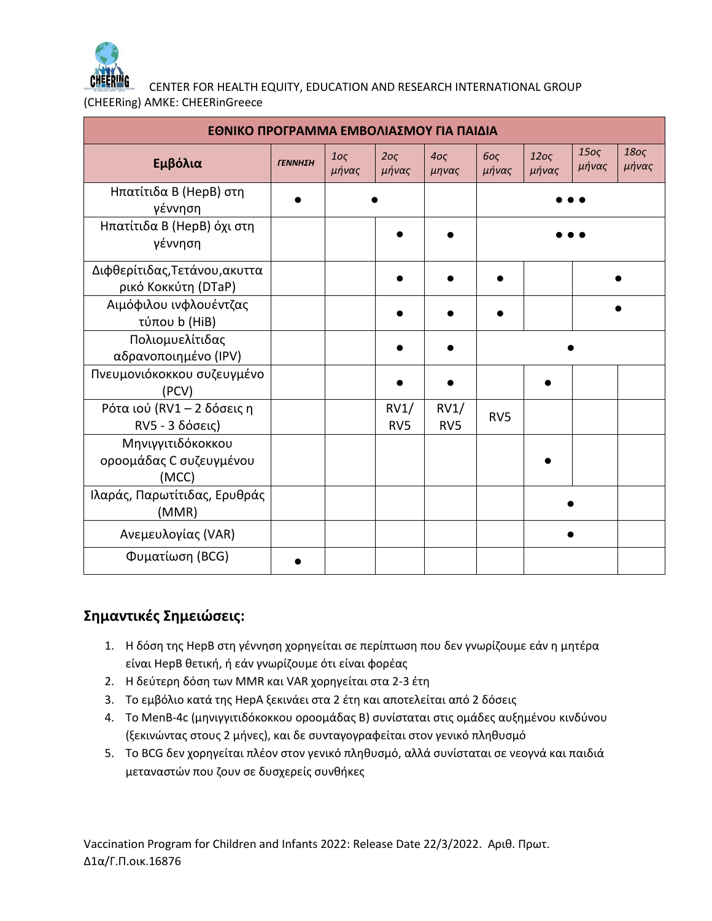

CENTER FOR HEALTH EQUITY, EDUCATION AND RESEARCH INTERNATIONAL GROUP

(CHEERing) AMKE: CHEERinGreece

| ΕΘΝΙΚΟ ΠΡΟΓΡΑΜΜΑ ΕΜΒΟΛΙΑΣΜΟΥ ΓΙΑ ΠΑΙΔΙΑ               |         |                          |                          |                          |                          |                           |                           |                           |  |  |
|-------------------------------------------------------|---------|--------------------------|--------------------------|--------------------------|--------------------------|---------------------------|---------------------------|---------------------------|--|--|
| Εμβόλια                                               | ΓΕΝΝΗΣΗ | 10 <sub>S</sub><br>μήνας | 2o <sub>5</sub><br>μήνας | 40 <sub>S</sub><br>μηνας | 60 <sub>S</sub><br>μήνας | 120 <sub>S</sub><br>μήνας | 150 <sub>S</sub><br>μήνας | 180 <sub>S</sub><br>μήνας |  |  |
| Ηπατίτιδα B (HepB) στη<br>γέννηση                     |         |                          |                          |                          |                          |                           |                           |                           |  |  |
| Ηπατίτιδα Β (HepB) όχι στη<br>γέννηση                 |         |                          |                          |                          |                          |                           |                           |                           |  |  |
| Διφθερίτιδας, Τετάνου, ακυττα<br>ρικό Κοκκύτη (DTaP)  |         |                          |                          |                          |                          |                           |                           |                           |  |  |
| Αιμόφιλου ινφλουέντζας<br>τύπου b (HiB)               |         |                          |                          |                          |                          |                           |                           |                           |  |  |
| Πολιομυελίτιδας<br>αδρανοποιημένο (IPV)               |         |                          |                          |                          |                          |                           |                           |                           |  |  |
| Πνευμονιόκοκκου συζευγμένο<br>(PCV)                   |         |                          |                          |                          |                          |                           |                           |                           |  |  |
| Ρότα ιού (RV1 - 2 δόσεις η<br>RV5 - 3 δόσεις)         |         |                          | RV1/<br>RV <sub>5</sub>  | RV1/<br>RV <sub>5</sub>  | RV <sub>5</sub>          |                           |                           |                           |  |  |
| Μηνιγγιτιδόκοκκου<br>οροομάδας C συζευγμένου<br>(MCC) |         |                          |                          |                          |                          |                           |                           |                           |  |  |
| Ιλαράς, Παρωτίτιδας, Ερυθράς<br>(MMR)                 |         |                          |                          |                          |                          |                           |                           |                           |  |  |
| Ανεμευλογίας (VAR)                                    |         |                          |                          |                          |                          |                           |                           |                           |  |  |
| Φυματίωση (BCG)                                       |         |                          |                          |                          |                          |                           |                           |                           |  |  |

## **Σημαντικές Σημειώσεις:**

- 1. Η δόση της HepB στη γέννηση χορηγείται σε περίπτωση που δεν γνωρίζουμε εάν η μητέρα είναι HepB θετική, ή εάν γνωρίζουμε ότι είναι φορέας
- 2. Η δεύτερη δόση των MMR και VAR χορηγείται στα 2-3 έτη
- 3. Το εμβόλιο κατά της HepA ξεκινάει στα 2 έτη και αποτελείται από 2 δόσεις
- 4. Το MenB-4c (μηνιγγιτιδόκοκκου οροομάδας Β) συνίσταται στις ομάδες αυξημένου κινδύνου (ξεκινώντας στους 2 μήνες), και δε συνταγογραφείται στον γενικό πληθυσμό
- 5. Το BCG δεν χορηγείται πλέον στον γενικό πληθυσμό, αλλά συνίσταται σε νεογνά και παιδιά μεταναστών που ζουν σε δυσχερείς συνθήκες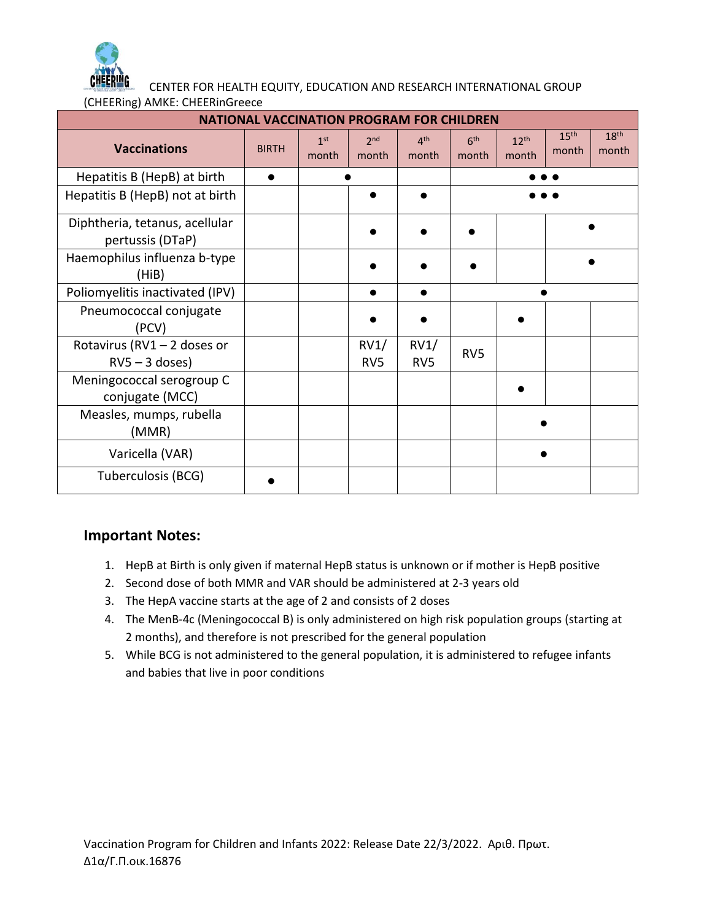

CENTER FOR HEALTH EQUITY, EDUCATION AND RESEARCH INTERNATIONAL GROUP

| (CHEERing) AMKE: CHEERinGreece |
|--------------------------------|
|--------------------------------|

| <b>NATIONAL VACCINATION PROGRAM FOR CHILDREN</b>   |              |                          |                          |                          |                          |                           |                           |                           |  |
|----------------------------------------------------|--------------|--------------------------|--------------------------|--------------------------|--------------------------|---------------------------|---------------------------|---------------------------|--|
| <b>Vaccinations</b>                                | <b>BIRTH</b> | 1 <sup>st</sup><br>month | 2 <sub>nd</sub><br>month | 4 <sup>th</sup><br>month | 6 <sup>th</sup><br>month | 12 <sup>th</sup><br>month | 15 <sup>th</sup><br>month | 18 <sup>th</sup><br>month |  |
| Hepatitis B (HepB) at birth                        |              |                          |                          |                          |                          |                           |                           |                           |  |
| Hepatitis B (HepB) not at birth                    |              |                          |                          |                          |                          |                           |                           |                           |  |
| Diphtheria, tetanus, acellular<br>pertussis (DTaP) |              |                          |                          |                          |                          |                           |                           |                           |  |
| Haemophilus influenza b-type<br>(HiB)              |              |                          |                          |                          |                          |                           |                           |                           |  |
| Poliomyelitis inactivated (IPV)                    |              |                          |                          |                          |                          |                           |                           |                           |  |
| Pneumococcal conjugate<br>(PCV)                    |              |                          |                          |                          |                          |                           |                           |                           |  |
| Rotavirus (RV1 - 2 doses or<br>$RV5 - 3$ doses)    |              |                          | RV1/<br>RV <sub>5</sub>  | RV1/<br>RV <sub>5</sub>  | RV <sub>5</sub>          |                           |                           |                           |  |
| Meningococcal serogroup C<br>conjugate (MCC)       |              |                          |                          |                          |                          |                           |                           |                           |  |
| Measles, mumps, rubella<br>(MMR)                   |              |                          |                          |                          |                          |                           |                           |                           |  |
| Varicella (VAR)                                    |              |                          |                          |                          |                          |                           |                           |                           |  |
| Tuberculosis (BCG)                                 |              |                          |                          |                          |                          |                           |                           |                           |  |

## **Important Notes:**

- 1. HepB at Birth is only given if maternal HepB status is unknown or if mother is HepB positive
- 2. Second dose of both MMR and VAR should be administered at 2-3 years old
- 3. The HepA vaccine starts at the age of 2 and consists of 2 doses
- 4. The MenB-4c (Meningococcal B) is only administered on high risk population groups (starting at 2 months), and therefore is not prescribed for the general population
- 5. While BCG is not administered to the general population, it is administered to refugee infants and babies that live in poor conditions